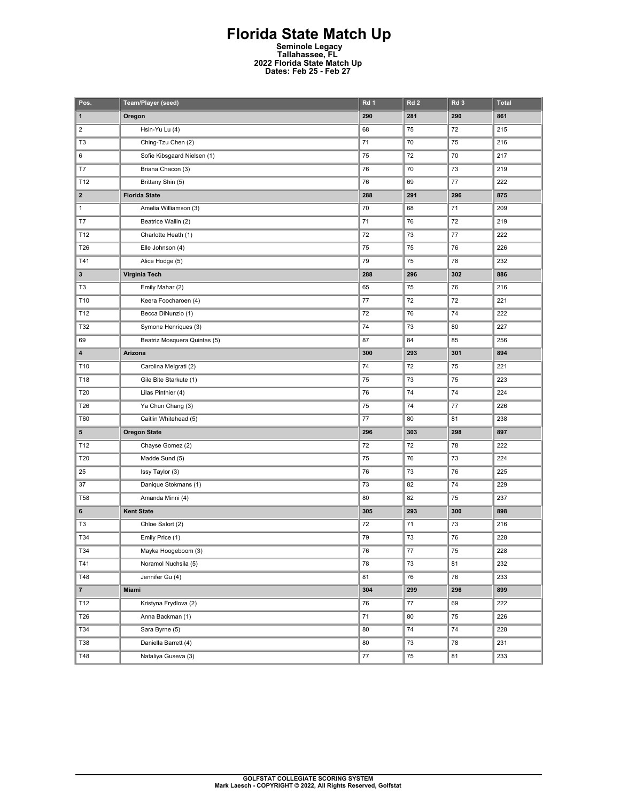## **Florida State Match Up Seminole Legacy Tallahassee, FL 2022 Florida State Match Up Dates: Feb 25 - Feb 27**

| Pos.           | Team/Player (seed)           | Rd <sub>1</sub> | Rd <sub>2</sub> | Rd 3    | Total |
|----------------|------------------------------|-----------------|-----------------|---------|-------|
| $\mathbf 1$    | Oregon                       | 290             | 281             | 290     | 861   |
| $\overline{2}$ | Hsin-Yu Lu (4)               | 68              | 75              | 72      | 215   |
| T <sub>3</sub> | Ching-Tzu Chen (2)           | 71              | 70              | 75      | 216   |
| 6              | Sofie Kibsgaard Nielsen (1)  | 75              | 72              | 70      | 217   |
| T7             | Briana Chacon (3)            | 76              | 70              | 73      | 219   |
| T12            | Brittany Shin (5)            | 76              | 69              | 77      | 222   |
| $\mathbf{2}$   | <b>Florida State</b>         | 288             | 291             | 296     | 875   |
| 1              | Amelia Williamson (3)        | 70              | 68              | 71      | 209   |
| T7             | Beatrice Wallin (2)          | 71              | 76              | 72      | 219   |
| T12            | Charlotte Heath (1)          | 72              | 73              | $77 \,$ | 222   |
| T26            | Elle Johnson (4)             | 75              | 75              | 76      | 226   |
| T41            | Alice Hodge (5)              | 79              | 75              | 78      | 232   |
| 3              | Virginia Tech                | 288             | 296             | 302     | 886   |
| T3             | Emily Mahar (2)              | 65              | 75              | 76      | 216   |
| T10            | Keera Foocharoen (4)         | 77              | 72              | 72      | 221   |
| T12            | Becca DiNunzio (1)           | 72              | 76              | 74      | 222   |
| T32            | Symone Henriques (3)         | 74              | 73              | 80      | 227   |
| 69             | Beatriz Mosquera Quintas (5) | 87              | 84              | 85      | 256   |
| 4              | Arizona                      | 300             | 293             | 301     | 894   |
| T10            | Carolina Melgrati (2)        | 74              | 72              | 75      | 221   |
| T18            | Gile Bite Starkute (1)       | 75              | 73              | 75      | 223   |
| T20            | Lilas Pinthier (4)           | 76              | 74              | 74      | 224   |
| T26            | Ya Chun Chang (3)            | 75              | 74              | $77 \,$ | 226   |
| T60            | Caitlin Whitehead (5)        | 77              | 80              | 81      | 238   |
| 5              | <b>Oregon State</b>          | 296             | 303             | 298     | 897   |
| T12            | Chayse Gomez (2)             | 72              | 72              | 78      | 222   |
| T20            | Madde Sund (5)               | 75              | 76              | 73      | 224   |
| 25             | Issy Taylor (3)              | 76              | 73              | 76      | 225   |
| 37             | Danique Stokmans (1)         | 73              | 82              | 74      | 229   |
| <b>T58</b>     | Amanda Minni (4)             | 80              | 82              | 75      | 237   |
| 6              | <b>Kent State</b>            | 305             | 293             | 300     | 898   |
| T <sub>3</sub> | Chloe Salort (2)             | 72              | 71              | 73      | 216   |
| T34            | Emily Price (1)              | 79              | 73              | 76      | 228   |
| T34            | Mayka Hoogeboom (3)          | 76              | 77              | 75      | 228   |
| T41            | Noramol Nuchsila (5)         | 78              | 73              | 81      | 232   |
| T48            | Jennifer Gu (4)              | 81              | 76              | 76      | 233   |
| 7 <sup>7</sup> | Miami                        | 304             | 299             | 296     | 899   |
| T12            | Kristyna Frydlova (2)        | 76              | 77              | 69      | 222   |
| T26            | Anna Backman (1)             | $71\,$          | 80              | 75      | 226   |
| T34            | Sara Byrne (5)               | 80              | 74              | 74      | 228   |
| <b>T38</b>     | Daniella Barrett (4)         | 80              | 73              | 78      | 231   |
| T48            | Nataliya Guseva (3)          | 77              | 75              | 81      | 233   |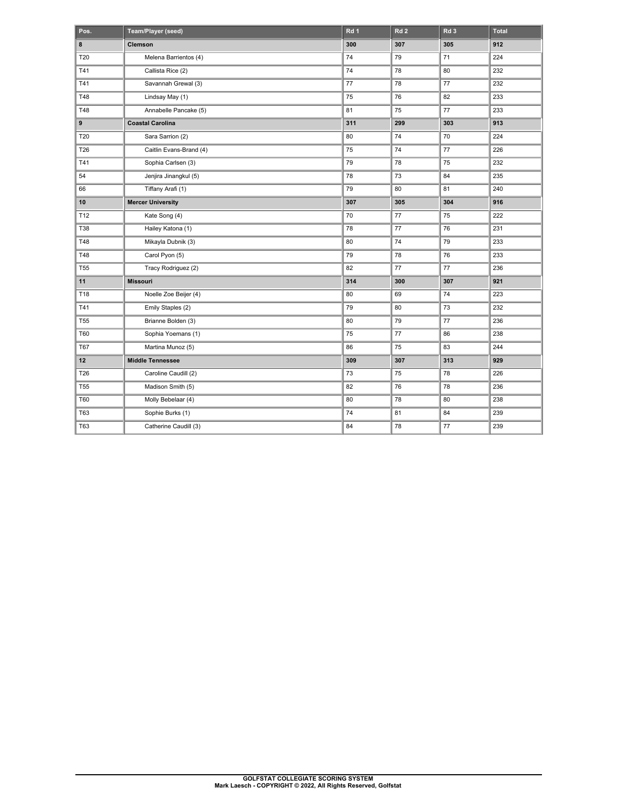| Pos.            | Team/Player (seed)       | Rd 1 | Rd <sub>2</sub> | Rd <sub>3</sub> | <b>Total</b> |
|-----------------|--------------------------|------|-----------------|-----------------|--------------|
| 8               | Clemson                  | 300  | 307             | 305             | 912          |
| T20             | Melena Barrientos (4)    | 74   | 79              | 71              | 224          |
| T41             | Callista Rice (2)        | 74   | 78              | 80              | 232          |
| T41             | Savannah Grewal (3)      | 77   | 78              | 77              | 232          |
| T48             | Lindsay May (1)          | 75   | 76              | 82              | 233          |
| T48             | Annabelle Pancake (5)    | 81   | 75              | 77              | 233          |
| 9               | <b>Coastal Carolina</b>  | 311  | 299             | 303             | 913          |
| T20             | Sara Sarrion (2)         | 80   | 74              | 70              | 224          |
| <b>T26</b>      | Caitlin Evans-Brand (4)  | 75   | 74              | 77              | 226          |
| T41             | Sophia Carlsen (3)       | 79   | 78              | 75              | 232          |
| 54              | Jenjira Jinangkul (5)    | 78   | 73              | 84              | 235          |
| 66              | Tiffany Arafi (1)        | 79   | 80              | 81              | 240          |
| 10              | <b>Mercer University</b> | 307  | 305             | 304             | 916          |
| T12             | Kate Song (4)            | 70   | 77              | 75              | 222          |
| <b>T38</b>      | Hailey Katona (1)        | 78   | 77              | 76              | 231          |
| T48             | Mikayla Dubnik (3)       | 80   | 74              | 79              | 233          |
| T48             | Carol Pyon (5)           | 79   | 78              | 76              | 233          |
| T <sub>55</sub> | Tracy Rodriguez (2)      | 82   | 77              | 77              | 236          |
| 11              | <b>Missouri</b>          | 314  | 300             | 307             | 921          |
| T18             | Noelle Zoe Beijer (4)    | 80   | 69              | 74              | 223          |
| T41             | Emily Staples (2)        | 79   | 80              | 73              | 232          |
| T <sub>55</sub> | Brianne Bolden (3)       | 80   | 79              | 77              | 236          |
| T60             | Sophia Yoemans (1)       | 75   | 77              | 86              | 238          |
| <b>T67</b>      | Martina Munoz (5)        | 86   | 75              | 83              | 244          |
| 12              | <b>Middle Tennessee</b>  | 309  | 307             | 313             | 929          |
| T26             | Caroline Caudill (2)     | 73   | 75              | 78              | 226          |
| T <sub>55</sub> | Madison Smith (5)        | 82   | 76              | 78              | 236          |
| <b>T60</b>      | Molly Bebelaar (4)       | 80   | 78              | 80              | 238          |
| T63             | Sophie Burks (1)         | 74   | 81              | 84              | 239          |
| T63             | Catherine Caudill (3)    | 84   | 78              | 77              | 239          |